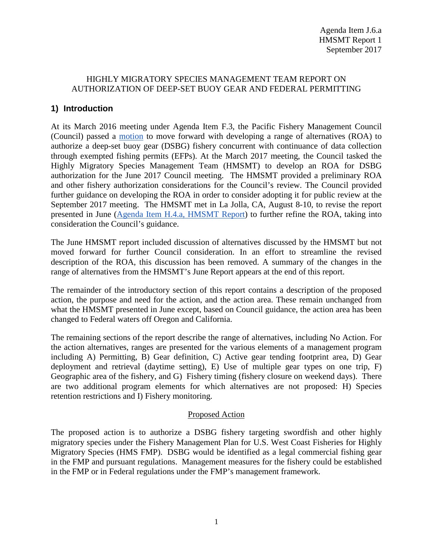#### HIGHLY MIGRATORY SPECIES MANAGEMENT TEAM REPORT ON AUTHORIZATION OF DEEP-SET BUOY GEAR AND FEDERAL PERMITTING

# **1) Introduction**

At its March 2016 meeting under Agenda Item F.3, the Pacific Fishery Management Council (Council) passed a [motion](http://www.pcouncil.org/wp-content/uploads/2016/03/F3_CouncilAction_MAR2016.pdf) to move forward with developing a range of alternatives (ROA) to authorize a deep-set buoy gear (DSBG) fishery concurrent with continuance of data collection through exempted fishing permits (EFPs). At the March 2017 meeting, the Council tasked the Highly Migratory Species Management Team (HMSMT) to develop an ROA for DSBG authorization for the June 2017 Council meeting. The HMSMT provided a preliminary ROA and other fishery authorization considerations for the Council's review. The Council provided further guidance on developing the ROA in order to consider adopting it for public review at the September 2017 meeting. The HMSMT met in La Jolla, CA, August 8-10, to revise the report presented in June [\(Agenda Item H.4.a, HMSMT Report\)](http://www.pcouncil.org/wp-content/uploads/2017/05/H3a_HMSMT_Rpt_DSBG_ROA_Jun2017BB.pdf) to further refine the ROA, taking into consideration the Council's guidance.

The June HMSMT report included discussion of alternatives discussed by the HMSMT but not moved forward for further Council consideration. In an effort to streamline the revised description of the ROA, this discussion has been removed. A summary of the changes in the range of alternatives from the HMSMT's June Report appears at the end of this report.

The remainder of the introductory section of this report contains a description of the proposed action, the purpose and need for the action, and the action area. These remain unchanged from what the HMSMT presented in June except, based on Council guidance, the action area has been changed to Federal waters off Oregon and California.

The remaining sections of the report describe the range of alternatives, including No Action. For the action alternatives, ranges are presented for the various elements of a management program including A) Permitting, B) Gear definition, C) Active gear tending footprint area, D) Gear deployment and retrieval (daytime setting), E) Use of multiple gear types on one trip, F) Geographic area of the fishery, and G) Fishery timing (fishery closure on weekend days). There are two additional program elements for which alternatives are not proposed: H) Species retention restrictions and I) Fishery monitoring.

#### Proposed Action

The proposed action is to authorize a DSBG fishery targeting swordfish and other highly migratory species under the Fishery Management Plan for U.S. West Coast Fisheries for Highly Migratory Species (HMS FMP). DSBG would be identified as a legal commercial fishing gear in the FMP and pursuant regulations. Management measures for the fishery could be established in the FMP or in Federal regulations under the FMP's management framework.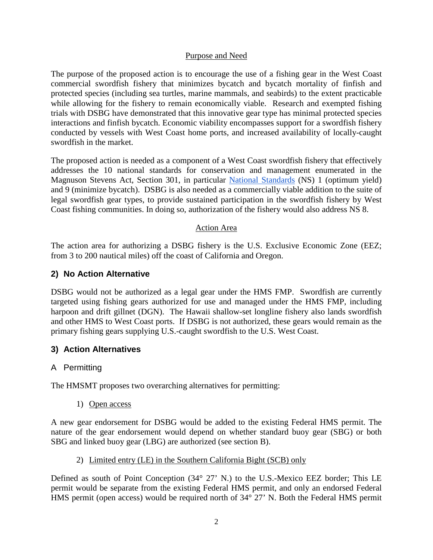#### Purpose and Need

The purpose of the proposed action is to encourage the use of a fishing gear in the West Coast commercial swordfish fishery that minimizes bycatch and bycatch mortality of finfish and protected species (including sea turtles, marine mammals, and seabirds) to the extent practicable while allowing for the fishery to remain economically viable. Research and exempted fishing trials with DSBG have demonstrated that this innovative gear type has minimal protected species interactions and finfish bycatch. Economic viability encompasses support for a swordfish fishery conducted by vessels with West Coast home ports, and increased availability of locally-caught swordfish in the market.

The proposed action is needed as a component of a West Coast swordfish fishery that effectively addresses the 10 national standards for conservation and management enumerated in the Magnuson Stevens Act, Section 301, in particular [National Standards](http://www.fisheries.noaa.gov/sfa/laws_policies/national_standards/) (NS) 1 (optimum yield) and 9 (minimize bycatch). DSBG is also needed as a commercially viable addition to the suite of legal swordfish gear types, to provide sustained participation in the swordfish fishery by West Coast fishing communities. In doing so, authorization of the fishery would also address NS 8.

#### Action Area

The action area for authorizing a DSBG fishery is the U.S. Exclusive Economic Zone (EEZ; from 3 to 200 nautical miles) off the coast of California and Oregon.

## **2) No Action Alternative**

DSBG would not be authorized as a legal gear under the HMS FMP. Swordfish are currently targeted using fishing gears authorized for use and managed under the HMS FMP, including harpoon and drift gillnet (DGN). The Hawaii shallow-set longline fishery also lands swordfish and other HMS to West Coast ports. If DSBG is not authorized, these gears would remain as the primary fishing gears supplying U.S.-caught swordfish to the U.S. West Coast.

## **3) Action Alternatives**

## A Permitting

The HMSMT proposes two overarching alternatives for permitting:

1) Open access

A new gear endorsement for DSBG would be added to the existing Federal HMS permit. The nature of the gear endorsement would depend on whether standard buoy gear (SBG) or both SBG and linked buoy gear (LBG) are authorized (see section B).

2) Limited entry (LE) in the Southern California Bight (SCB) only

Defined as south of Point Conception (34° 27' N.) to the U.S.-Mexico EEZ border; This LE permit would be separate from the existing Federal HMS permit, and only an endorsed Federal HMS permit (open access) would be required north of 34° 27' N. Both the Federal HMS permit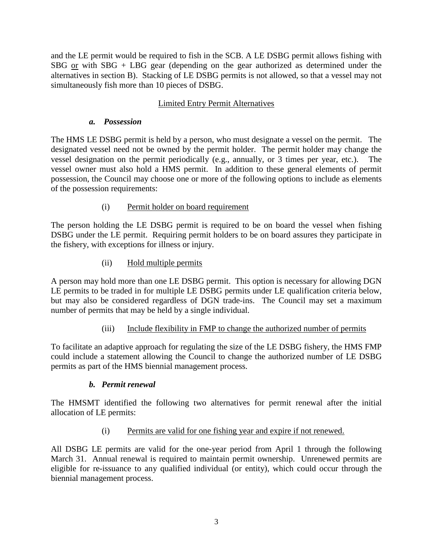and the LE permit would be required to fish in the SCB. A LE DSBG permit allows fishing with SBG or with SBG + LBG gear (depending on the gear authorized as determined under the alternatives in section B). Stacking of LE DSBG permits is not allowed, so that a vessel may not simultaneously fish more than 10 pieces of DSBG.

## Limited Entry Permit Alternatives

#### *a. Possession*

The HMS LE DSBG permit is held by a person, who must designate a vessel on the permit. The designated vessel need not be owned by the permit holder. The permit holder may change the vessel designation on the permit periodically (e.g., annually, or 3 times per year, etc.). The vessel owner must also hold a HMS permit. In addition to these general elements of permit possession, the Council may choose one or more of the following options to include as elements of the possession requirements:

## (i) Permit holder on board requirement

The person holding the LE DSBG permit is required to be on board the vessel when fishing DSBG under the LE permit. Requiring permit holders to be on board assures they participate in the fishery, with exceptions for illness or injury.

## (ii) Hold multiple permits

A person may hold more than one LE DSBG permit. This option is necessary for allowing DGN LE permits to be traded in for multiple LE DSBG permits under LE qualification criteria below, but may also be considered regardless of DGN trade-ins. The Council may set a maximum number of permits that may be held by a single individual.

## (iii) Include flexibility in FMP to change the authorized number of permits

To facilitate an adaptive approach for regulating the size of the LE DSBG fishery, the HMS FMP could include a statement allowing the Council to change the authorized number of LE DSBG permits as part of the HMS biennial management process.

## *b. Permit renewal*

The HMSMT identified the following two alternatives for permit renewal after the initial allocation of LE permits:

## (i) Permits are valid for one fishing year and expire if not renewed.

All DSBG LE permits are valid for the one-year period from April 1 through the following March 31. Annual renewal is required to maintain permit ownership. Unrenewed permits are eligible for re-issuance to any qualified individual (or entity), which could occur through the biennial management process.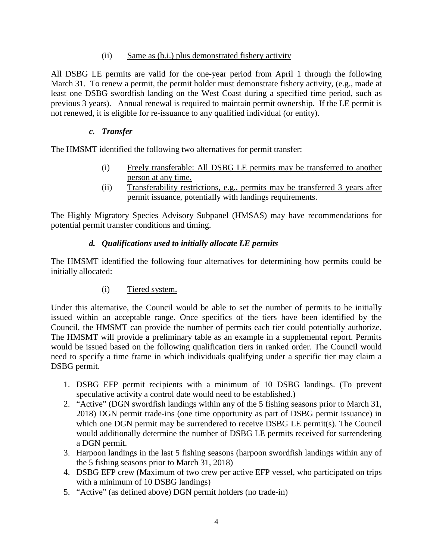#### (ii) Same as (b.i.) plus demonstrated fishery activity

All DSBG LE permits are valid for the one-year period from April 1 through the following March 31. To renew a permit, the permit holder must demonstrate fishery activity, (e.g., made at least one DSBG swordfish landing on the West Coast during a specified time period, such as previous 3 years). Annual renewal is required to maintain permit ownership. If the LE permit is not renewed, it is eligible for re-issuance to any qualified individual (or entity).

## *c. Transfer*

The HMSMT identified the following two alternatives for permit transfer:

- (i) Freely transferable: All DSBG LE permits may be transferred to another person at any time.
- (ii) Transferability restrictions, e.g., permits may be transferred 3 years after permit issuance, potentially with landings requirements.

The Highly Migratory Species Advisory Subpanel (HMSAS) may have recommendations for potential permit transfer conditions and timing.

## *d. Qualifications used to initially allocate LE permits*

The HMSMT identified the following four alternatives for determining how permits could be initially allocated:

# (i) Tiered system.

Under this alternative, the Council would be able to set the number of permits to be initially issued within an acceptable range. Once specifics of the tiers have been identified by the Council, the HMSMT can provide the number of permits each tier could potentially authorize. The HMSMT will provide a preliminary table as an example in a supplemental report. Permits would be issued based on the following qualification tiers in ranked order. The Council would need to specify a time frame in which individuals qualifying under a specific tier may claim a DSBG permit.

- 1. DSBG EFP permit recipients with a minimum of 10 DSBG landings. (To prevent speculative activity a control date would need to be established.)
- 2. "Active" (DGN swordfish landings within any of the 5 fishing seasons prior to March 31, 2018) DGN permit trade-ins (one time opportunity as part of DSBG permit issuance) in which one DGN permit may be surrendered to receive DSBG LE permit(s). The Council would additionally determine the number of DSBG LE permits received for surrendering a DGN permit.
- 3. Harpoon landings in the last 5 fishing seasons (harpoon swordfish landings within any of the 5 fishing seasons prior to March 31, 2018)
- 4. DSBG EFP crew (Maximum of two crew per active EFP vessel, who participated on trips with a minimum of 10 DSBG landings)
- 5. "Active" (as defined above) DGN permit holders (no trade-in)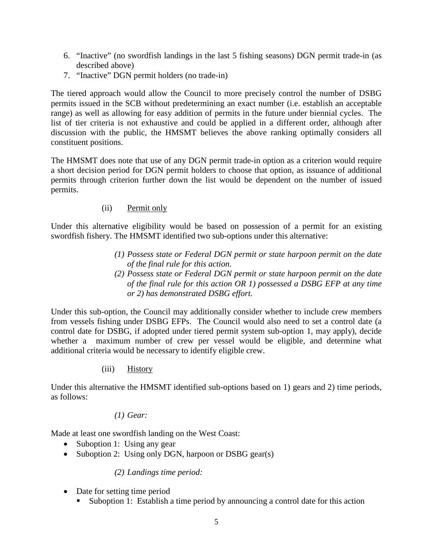- 6. "Inactive" (no swordfish landings in the last 5 fishing seasons) DGN permit trade-in (as described above)
- 7. "Inactive" DGN permit holders (no trade-in)

The tiered approach would allow the Council to more precisely control the number of DSBG permits issued in the SCB without predetermining an exact number (i.e. establish an acceptable range) as well as allowing for easy addition of permits in the future under biennial cycles. The list of tier criteria is not exhaustive and could be applied in a different order, although after discussion with the public, the HMSMT believes the above ranking optimally considers all constituent positions.

The HMSMT does note that use of any DGN permit trade-in option as a criterion would require a short decision period for DGN permit holders to choose that option, as issuance of additional permits through criterion further down the list would be dependent on the number of issued permits.

#### (ii) Permit only

Under this alternative eligibility would be based on possession of a permit for an existing swordfish fishery. The HMSMT identified two sub-options under this alternative:

- *(1) Possess state or Federal DGN permit or state harpoon permit on the date of the final rule for this action.*
- *(2) Possess state or Federal DGN permit or state harpoon permit on the date of the final rule for this action OR 1) possessed a DSBG EFP at any time or 2) has demonstrated DSBG effort.*

Under this sub-option, the Council may additionally consider whether to include crew members from vessels fishing under DSBG EFPs. The Council would also need to set a control date (a control date for DSBG, if adopted under tiered permit system sub-option 1, may apply), decide whether a maximum number of crew per vessel would be eligible, and determine what additional criteria would be necessary to identify eligible crew.

#### (iii) History

Under this alternative the HMSMT identified sub-options based on 1) gears and 2) time periods, as follows:

#### *(1) Gear:*

Made at least one swordfish landing on the West Coast:

- Suboption 1: Using any gear
- Suboption 2: Using only DGN, harpoon or DSBG gear(s)

#### *(2) Landings time period:*

- Date for setting time period
	- Suboption 1: Establish a time period by announcing a control date for this action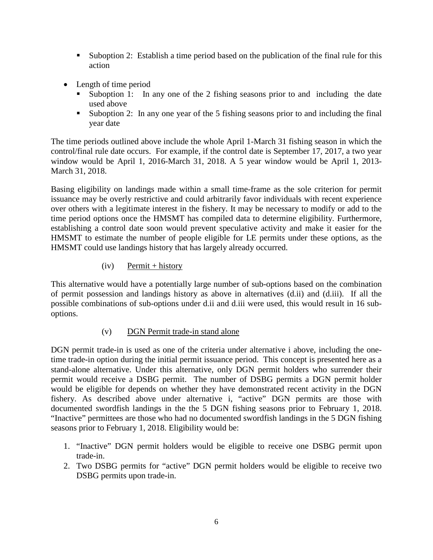- Suboption 2: Establish a time period based on the publication of the final rule for this action
- Length of time period
	- Suboption 1: In any one of the 2 fishing seasons prior to and including the date used above
	- Suboption 2: In any one year of the 5 fishing seasons prior to and including the final year date

The time periods outlined above include the whole April 1-March 31 fishing season in which the control/final rule date occurs. For example, if the control date is September 17, 2017, a two year window would be April 1, 2016-March 31, 2018. A 5 year window would be April 1, 2013- March 31, 2018.

Basing eligibility on landings made within a small time-frame as the sole criterion for permit issuance may be overly restrictive and could arbitrarily favor individuals with recent experience over others with a legitimate interest in the fishery. It may be necessary to modify or add to the time period options once the HMSMT has compiled data to determine eligibility. Furthermore, establishing a control date soon would prevent speculative activity and make it easier for the HMSMT to estimate the number of people eligible for LE permits under these options, as the HMSMT could use landings history that has largely already occurred.

## $(iv)$  Permit + history

This alternative would have a potentially large number of sub-options based on the combination of permit possession and landings history as above in alternatives (d.ii) and (d.iii). If all the possible combinations of sub-options under d.ii and d.iii were used, this would result in 16 suboptions.

## (v) DGN Permit trade-in stand alone

DGN permit trade-in is used as one of the criteria under alternative i above, including the onetime trade-in option during the initial permit issuance period. This concept is presented here as a stand-alone alternative. Under this alternative, only DGN permit holders who surrender their permit would receive a DSBG permit. The number of DSBG permits a DGN permit holder would be eligible for depends on whether they have demonstrated recent activity in the DGN fishery. As described above under alternative i, "active" DGN permits are those with documented swordfish landings in the the 5 DGN fishing seasons prior to February 1, 2018. "Inactive" permittees are those who had no documented swordfish landings in the 5 DGN fishing seasons prior to February 1, 2018. Eligibility would be:

- 1. "Inactive" DGN permit holders would be eligible to receive one DSBG permit upon trade-in.
- 2. Two DSBG permits for "active" DGN permit holders would be eligible to receive two DSBG permits upon trade-in.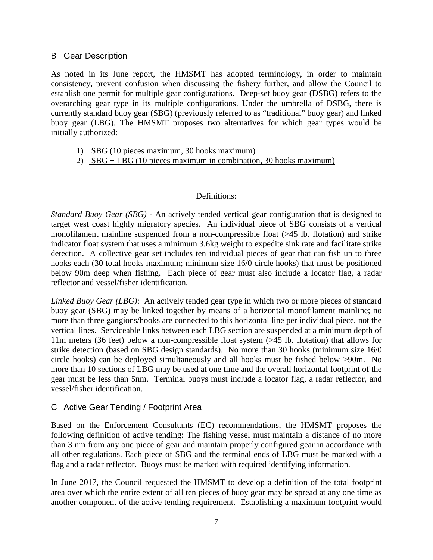#### B Gear Description

As noted in its June report, the HMSMT has adopted terminology, in order to maintain consistency, prevent confusion when discussing the fishery further, and allow the Council to establish one permit for multiple gear configurations. Deep-set buoy gear (DSBG) refers to the overarching gear type in its multiple configurations. Under the umbrella of DSBG, there is currently standard buoy gear (SBG) (previously referred to as "traditional" buoy gear) and linked buoy gear (LBG). The HMSMT proposes two alternatives for which gear types would be initially authorized:

- 1) SBG (10 pieces maximum, 30 hooks maximum)
- 2) SBG + LBG (10 pieces maximum in combination, 30 hooks maximum)

#### Definitions:

*Standard Buoy Gear (SBG) -* An actively tended vertical gear configuration that is designed to target west coast highly migratory species. An individual piece of SBG consists of a vertical monofilament mainline suspended from a non-compressible float (>45 lb. flotation) and strike indicator float system that uses a minimum 3.6kg weight to expedite sink rate and facilitate strike detection. A collective gear set includes ten individual pieces of gear that can fish up to three hooks each (30 total hooks maximum; minimum size 16/0 circle hooks) that must be positioned below 90m deep when fishing. Each piece of gear must also include a locator flag, a radar reflector and vessel/fisher identification.

*Linked Buoy Gear (LBG)*: An actively tended gear type in which two or more pieces of standard buoy gear (SBG) may be linked together by means of a horizontal monofilament mainline; no more than three gangions/hooks are connected to this horizontal line per individual piece, not the vertical lines. Serviceable links between each LBG section are suspended at a minimum depth of 11m meters (36 feet) below a non-compressible float system (>45 lb. flotation) that allows for strike detection (based on SBG design standards). No more than 30 hooks (minimum size 16/0 circle hooks) can be deployed simultaneously and all hooks must be fished below >90m. No more than 10 sections of LBG may be used at one time and the overall horizontal footprint of the gear must be less than 5nm. Terminal buoys must include a locator flag, a radar reflector, and vessel/fisher identification.

## C Active Gear Tending / Footprint Area

Based on the Enforcement Consultants (EC) recommendations, the HMSMT proposes the following definition of active tending: The fishing vessel must maintain a distance of no more than 3 nm from any one piece of gear and maintain properly configured gear in accordance with all other regulations. Each piece of SBG and the terminal ends of LBG must be marked with a flag and a radar reflector. Buoys must be marked with required identifying information.

In June 2017, the Council requested the HMSMT to develop a definition of the total footprint area over which the entire extent of all ten pieces of buoy gear may be spread at any one time as another component of the active tending requirement. Establishing a maximum footprint would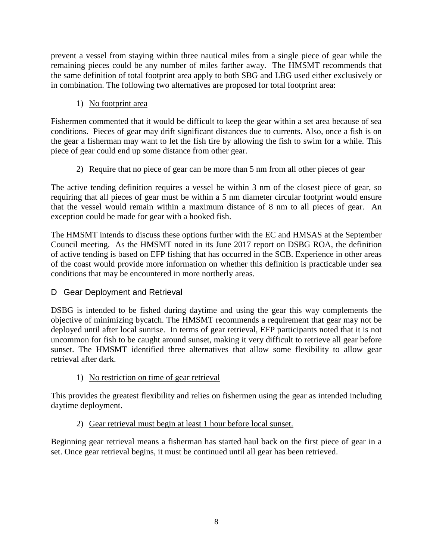prevent a vessel from staying within three nautical miles from a single piece of gear while the remaining pieces could be any number of miles farther away. The HMSMT recommends that the same definition of total footprint area apply to both SBG and LBG used either exclusively or in combination. The following two alternatives are proposed for total footprint area:

# 1) No footprint area

Fishermen commented that it would be difficult to keep the gear within a set area because of sea conditions. Pieces of gear may drift significant distances due to currents. Also, once a fish is on the gear a fisherman may want to let the fish tire by allowing the fish to swim for a while. This piece of gear could end up some distance from other gear.

# 2) Require that no piece of gear can be more than 5 nm from all other pieces of gear

The active tending definition requires a vessel be within 3 nm of the closest piece of gear, so requiring that all pieces of gear must be within a 5 nm diameter circular footprint would ensure that the vessel would remain within a maximum distance of 8 nm to all pieces of gear. An exception could be made for gear with a hooked fish.

The HMSMT intends to discuss these options further with the EC and HMSAS at the September Council meeting. As the HMSMT noted in its June 2017 report on DSBG ROA, the definition of active tending is based on EFP fishing that has occurred in the SCB. Experience in other areas of the coast would provide more information on whether this definition is practicable under sea conditions that may be encountered in more northerly areas.

# D Gear Deployment and Retrieval

DSBG is intended to be fished during daytime and using the gear this way complements the objective of minimizing bycatch. The HMSMT recommends a requirement that gear may not be deployed until after local sunrise. In terms of gear retrieval, EFP participants noted that it is not uncommon for fish to be caught around sunset, making it very difficult to retrieve all gear before sunset. The HMSMT identified three alternatives that allow some flexibility to allow gear retrieval after dark.

# 1) No restriction on time of gear retrieval

This provides the greatest flexibility and relies on fishermen using the gear as intended including daytime deployment.

# 2) Gear retrieval must begin at least 1 hour before local sunset.

Beginning gear retrieval means a fisherman has started haul back on the first piece of gear in a set. Once gear retrieval begins, it must be continued until all gear has been retrieved.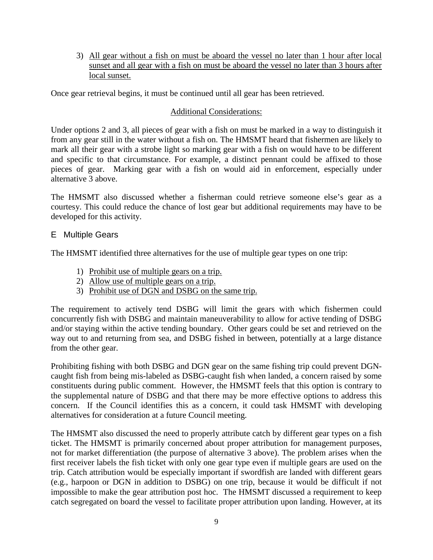3) All gear without a fish on must be aboard the vessel no later than 1 hour after local sunset and all gear with a fish on must be aboard the vessel no later than 3 hours after local sunset.

Once gear retrieval begins, it must be continued until all gear has been retrieved.

## Additional Considerations:

Under options 2 and 3, all pieces of gear with a fish on must be marked in a way to distinguish it from any gear still in the water without a fish on. The HMSMT heard that fishermen are likely to mark all their gear with a strobe light so marking gear with a fish on would have to be different and specific to that circumstance. For example, a distinct pennant could be affixed to those pieces of gear. Marking gear with a fish on would aid in enforcement, especially under alternative 3 above.

The HMSMT also discussed whether a fisherman could retrieve someone else's gear as a courtesy. This could reduce the chance of lost gear but additional requirements may have to be developed for this activity.

## E Multiple Gears

The HMSMT identified three alternatives for the use of multiple gear types on one trip:

- 1) Prohibit use of multiple gears on a trip.
- 2) Allow use of multiple gears on a trip.
- 3) Prohibit use of DGN and DSBG on the same trip.

The requirement to actively tend DSBG will limit the gears with which fishermen could concurrently fish with DSBG and maintain maneuverability to allow for active tending of DSBG and/or staying within the active tending boundary. Other gears could be set and retrieved on the way out to and returning from sea, and DSBG fished in between, potentially at a large distance from the other gear.

Prohibiting fishing with both DSBG and DGN gear on the same fishing trip could prevent DGNcaught fish from being mis-labeled as DSBG-caught fish when landed, a concern raised by some constituents during public comment. However, the HMSMT feels that this option is contrary to the supplemental nature of DSBG and that there may be more effective options to address this concern. If the Council identifies this as a concern, it could task HMSMT with developing alternatives for consideration at a future Council meeting.

The HMSMT also discussed the need to properly attribute catch by different gear types on a fish ticket. The HMSMT is primarily concerned about proper attribution for management purposes, not for market differentiation (the purpose of alternative 3 above). The problem arises when the first receiver labels the fish ticket with only one gear type even if multiple gears are used on the trip. Catch attribution would be especially important if swordfish are landed with different gears (e.g., harpoon or DGN in addition to DSBG) on one trip, because it would be difficult if not impossible to make the gear attribution post hoc. The HMSMT discussed a requirement to keep catch segregated on board the vessel to facilitate proper attribution upon landing. However, at its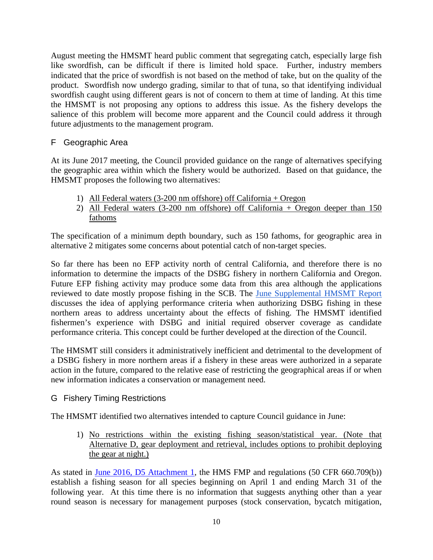August meeting the HMSMT heard public comment that segregating catch, especially large fish like swordfish, can be difficult if there is limited hold space. Further, industry members indicated that the price of swordfish is not based on the method of take, but on the quality of the product. Swordfish now undergo grading, similar to that of tuna, so that identifying individual swordfish caught using different gears is not of concern to them at time of landing. At this time the HMSMT is not proposing any options to address this issue. As the fishery develops the salience of this problem will become more apparent and the Council could address it through future adjustments to the management program.

## F Geographic Area

At its June 2017 meeting, the Council provided guidance on the range of alternatives specifying the geographic area within which the fishery would be authorized. Based on that guidance, the HMSMT proposes the following two alternatives:

- 1) All Federal waters (3-200 nm offshore) off California + Oregon
- 2) All Federal waters (3-200 nm offshore) off California + Oregon deeper than 150 fathoms

The specification of a minimum depth boundary, such as 150 fathoms, for geographic area in alternative 2 mitigates some concerns about potential catch of non-target species.

So far there has been no EFP activity north of central California, and therefore there is no information to determine the impacts of the DSBG fishery in northern California and Oregon. Future EFP fishing activity may produce some data from this area although the applications reviewed to date mostly propose fishing in the SCB. The [June Supplemental HMSMT Report](http://www.pcouncil.org/wp-content/uploads/2017/06/H3a_Sup_HMSMT_Rpt2_DSBG_ROA_Jun2017BB.pdf)  discusses the idea of applying performance criteria when authorizing DSBG fishing in these northern areas to address uncertainty about the effects of fishing. The HMSMT identified fishermen's experience with DSBG and initial required observer coverage as candidate performance criteria. This concept could be further developed at the direction of the Council.

The HMSMT still considers it administratively inefficient and detrimental to the development of a DSBG fishery in more northern areas if a fishery in these areas were authorized in a separate action in the future, compared to the relative ease of restricting the geographical areas if or when new information indicates a conservation or management need.

## G Fishery Timing Restrictions

The HMSMT identified two alternatives intended to capture Council guidance in June:

1) No restrictions within the existing fishing season/statistical year. (Note that Alternative D, gear deployment and retrieval, includes options to prohibit deploying the gear at night.)

As stated in [June 2016, D5 Attachment 1,](http://www.pcouncil.org/wp-content/uploads/2016/06/D5_Att1_Considerations_DSBG_JUN2016BB.pdf) the HMS FMP and regulations (50 CFR 660.709(b)) establish a fishing season for all species beginning on April 1 and ending March 31 of the following year. At this time there is no information that suggests anything other than a year round season is necessary for management purposes (stock conservation, bycatch mitigation,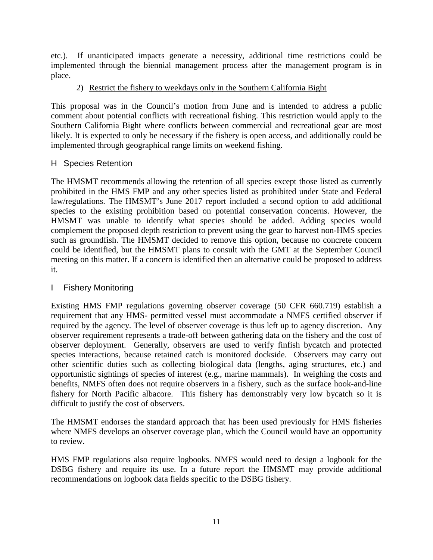etc.). If unanticipated impacts generate a necessity, additional time restrictions could be implemented through the biennial management process after the management program is in place.

## 2) Restrict the fishery to weekdays only in the Southern California Bight

This proposal was in the Council's motion from June and is intended to address a public comment about potential conflicts with recreational fishing. This restriction would apply to the Southern California Bight where conflicts between commercial and recreational gear are most likely. It is expected to only be necessary if the fishery is open access, and additionally could be implemented through geographical range limits on weekend fishing.

## H Species Retention

The HMSMT recommends allowing the retention of all species except those listed as currently prohibited in the HMS FMP and any other species listed as prohibited under State and Federal law/regulations. The HMSMT's June 2017 report included a second option to add additional species to the existing prohibition based on potential conservation concerns. However, the HMSMT was unable to identify what species should be added. Adding species would complement the proposed depth restriction to prevent using the gear to harvest non-HMS species such as groundfish. The HMSMT decided to remove this option, because no concrete concern could be identified, but the HMSMT plans to consult with the GMT at the September Council meeting on this matter. If a concern is identified then an alternative could be proposed to address it.

# I Fishery Monitoring

Existing HMS FMP regulations governing observer coverage (50 CFR 660.719) establish a requirement that any HMS- permitted vessel must accommodate a NMFS certified observer if required by the agency. The level of observer coverage is thus left up to agency discretion. Any observer requirement represents a trade-off between gathering data on the fishery and the cost of observer deployment. Generally, observers are used to verify finfish bycatch and protected species interactions, because retained catch is monitored dockside. Observers may carry out other scientific duties such as collecting biological data (lengths, aging structures, etc.) and opportunistic sightings of species of interest (e.g., marine mammals). In weighing the costs and benefits, NMFS often does not require observers in a fishery, such as the surface hook-and-line fishery for North Pacific albacore. This fishery has demonstrably very low bycatch so it is difficult to justify the cost of observers.

The HMSMT endorses the standard approach that has been used previously for HMS fisheries where NMFS develops an observer coverage plan, which the Council would have an opportunity to review.

HMS FMP regulations also require logbooks. NMFS would need to design a logbook for the DSBG fishery and require its use. In a future report the HMSMT may provide additional recommendations on logbook data fields specific to the DSBG fishery.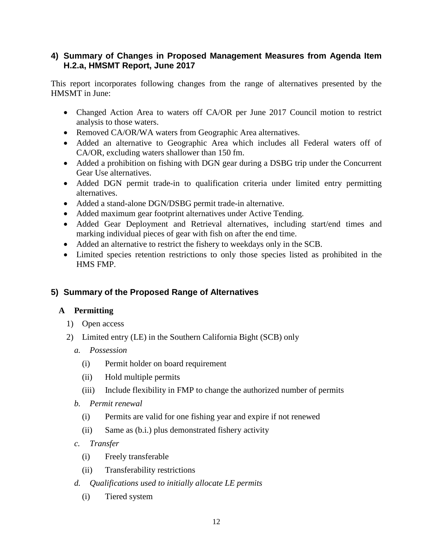## **4) Summary of Changes in Proposed Management Measures from Agenda Item H.2.a, HMSMT Report, June 2017**

This report incorporates following changes from the range of alternatives presented by the HMSMT in June:

- Changed Action Area to waters off CA/OR per June 2017 Council motion to restrict analysis to those waters.
- Removed CA/OR/WA waters from Geographic Area alternatives.
- Added an alternative to Geographic Area which includes all Federal waters off of CA/OR, excluding waters shallower than 150 fm.
- Added a prohibition on fishing with DGN gear during a DSBG trip under the Concurrent Gear Use alternatives.
- Added DGN permit trade-in to qualification criteria under limited entry permitting alternatives.
- Added a stand-alone DGN/DSBG permit trade-in alternative.
- Added maximum gear footprint alternatives under Active Tending.
- Added Gear Deployment and Retrieval alternatives, including start/end times and marking individual pieces of gear with fish on after the end time.
- Added an alternative to restrict the fishery to weekdays only in the SCB.
- Limited species retention restrictions to only those species listed as prohibited in the HMS FMP.

# **5) Summary of the Proposed Range of Alternatives**

# **A Permitting**

- 1) Open access
- 2) Limited entry (LE) in the Southern California Bight (SCB) only
	- *a. Possession*
		- (i) Permit holder on board requirement
		- (ii) Hold multiple permits
		- (iii) Include flexibility in FMP to change the authorized number of permits
	- *b. Permit renewal*
		- (i) Permits are valid for one fishing year and expire if not renewed
		- (ii) Same as (b.i.) plus demonstrated fishery activity
	- *c. Transfer*
		- (i) Freely transferable
		- (ii) Transferability restrictions
	- *d. Qualifications used to initially allocate LE permits*
		- (i) Tiered system